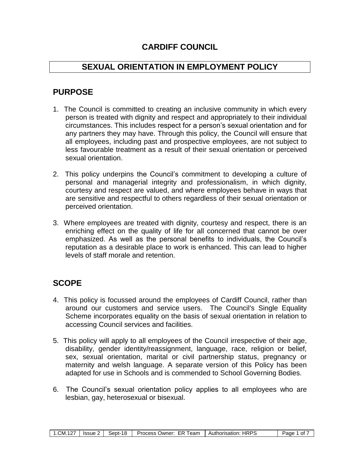## **CARDIFF COUNCIL**

### **SEXUAL ORIENTATION IN EMPLOYMENT POLICY**

## **PURPOSE**

- 1. The Council is committed to creating an inclusive community in which every person is treated with dignity and respect and appropriately to their individual circumstances. This includes respect for a person's sexual orientation and for any partners they may have. Through this policy, the Council will ensure that all employees, including past and prospective employees, are not subject to less favourable treatment as a result of their sexual orientation or perceived sexual orientation.
- 2. This policy underpins the Council's commitment to developing a culture of personal and managerial integrity and professionalism, in which dignity, courtesy and respect are valued, and where employees behave in ways that are sensitive and respectful to others regardless of their sexual orientation or perceived orientation.
- 3. Where employees are treated with dignity, courtesy and respect, there is an enriching effect on the quality of life for all concerned that cannot be over emphasized. As well as the personal benefits to individuals, the Council's reputation as a desirable place to work is enhanced. This can lead to higher levels of staff morale and retention.

## **SCOPE**

- 4. This policy is focussed around the employees of Cardiff Council, rather than around our customers and service users. The Council's Single Equality Scheme incorporates equality on the basis of sexual orientation in relation to accessing Council services and facilities.
- 5. This policy will apply to all employees of the Council irrespective of their age, disability, gender identity/reassignment, language, race, religion or belief, sex, sexual orientation, marital or civil partnership status, pregnancy or maternity and welsh language. A separate version of this Policy has been adapted for use in Schools and is commended to School Governing Bodies.
- 6. The Council's sexual orientation policy applies to all employees who are lesbian, gay, heterosexual or bisexual.

| $\sim$<br>.CM. | Issue | -18<br>Sept-1 | <b>Process</b><br>!eam<br>EК.<br>Owner <sup>.</sup> | <b>HRPS</b><br>Authorisation: | Page<br>0t |
|----------------|-------|---------------|-----------------------------------------------------|-------------------------------|------------|
|----------------|-------|---------------|-----------------------------------------------------|-------------------------------|------------|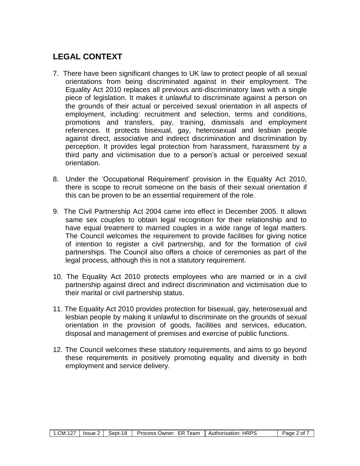## **LEGAL CONTEXT**

- 7. There have been significant changes to UK law to protect people of all sexual orientations from being discriminated against in their employment. The Equality Act 2010 replaces all previous anti-discriminatory laws with a single piece of legislation. It makes it unlawful to discriminate against a person on the grounds of their actual or perceived sexual orientation in all aspects of employment, including: recruitment and selection, terms and conditions, promotions and transfers, pay, training, dismissals and employment references. It protects bisexual, gay, heterosexual and lesbian people against direct, associative and indirect discrimination and discrimination by perception. It provides legal protection from harassment, harassment by a third party and victimisation due to a person's actual or perceived sexual orientation.
- 8. Under the 'Occupational Requirement' provision in the Equality Act 2010, there is scope to recruit someone on the basis of their sexual orientation if this can be proven to be an essential requirement of the role.
- 9. The Civil Partnership Act 2004 came into effect in December 2005. It allows same sex couples to obtain legal recognition for their relationship and to have equal treatment to married couples in a wide range of legal matters. The Council welcomes the requirement to provide facilities for giving notice of intention to register a civil partnership, and for the formation of civil partnerships. The Council also offers a choice of ceremonies as part of the legal process, although this is not a statutory requirement.
- 10. The Equality Act 2010 protects employees who are married or in a civil partnership against direct and indirect discrimination and victimisation due to their marital or civil partnership status.
- 11. The Equality Act 2010 provides protection for bisexual, gay, heterosexual and lesbian people by making it unlawful to discriminate on the grounds of sexual orientation in the provision of goods, facilities and services, education, disposal and management of premises and exercise of public functions.
- 12. The Council welcomes these statutory requirements, and aims to go beyond these requirements in positively promoting equality and diversity in both employment and service delivery.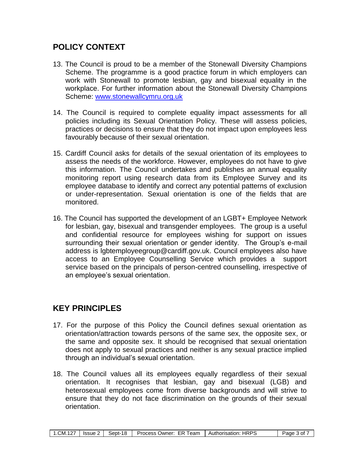## **POLICY CONTEXT**

- 13. The Council is proud to be a member of the Stonewall Diversity Champions Scheme. The programme is a good practice forum in which employers can work with Stonewall to promote lesbian, gay and bisexual equality in the workplace. For further information about the Stonewall Diversity Champions Scheme: [www.stonewallcymru.org.uk](http://www.stonewallcymru.org.uk/cymru/english/at_work/diversity_champions_cymru/default.asp)
- 14. The Council is required to complete equality impact assessments for all policies including its Sexual Orientation Policy. These will assess policies, practices or decisions to ensure that they do not impact upon employees less favourably because of their sexual orientation.
- 15. Cardiff Council asks for details of the sexual orientation of its employees to assess the needs of the workforce. However, employees do not have to give this information. The Council undertakes and publishes an annual equality monitoring report using research data from its Employee Survey and its employee database to identify and correct any potential patterns of exclusion or under-representation. Sexual orientation is one of the fields that are monitored.
- 16. The Council has supported the development of an LGBT+ Employee Network for lesbian, gay, bisexual and transgender employees. The group is a useful and confidential resource for employees wishing for support on issues surrounding their sexual orientation or gender identity. The Group's e-mail address is [lgbtemployeegroup@cardiff.gov.uk.](mailto:lgbtemployeegroup@cardiff.gov.uk) Council employees also have access to an Employee Counselling Service which provides a support service based on the principals of person-centred counselling, irrespective of an employee's sexual orientation.

## **KEY PRINCIPLES**

- 17. For the purpose of this Policy the Council defines sexual orientation as orientation/attraction towards persons of the same sex, the opposite sex, or the same and opposite sex. It should be recognised that sexual orientation does not apply to sexual practices and neither is any sexual practice implied through an individual's sexual orientation.
- 18. The Council values all its employees equally regardless of their sexual orientation. It recognises that lesbian, gay and bisexual (LGB) and heterosexual employees come from diverse backgrounds and will strive to ensure that they do not face discrimination on the grounds of their sexual orientation.

| $. \n\neg$<br>.CM.1 | <b>Issue</b> | Sept-18 | <b>Process</b><br>eam<br>∪wner <sup>.</sup><br>FК | <b>HRPS</b><br>Authorisation: | Page<br>οt |
|---------------------|--------------|---------|---------------------------------------------------|-------------------------------|------------|
|                     |              |         |                                                   |                               |            |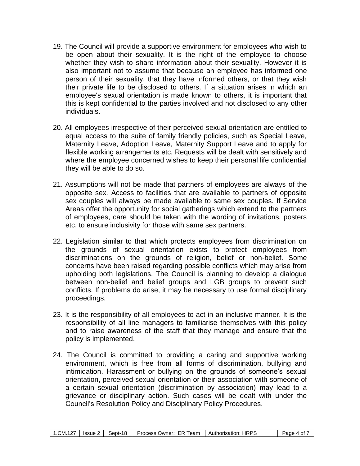- 19. The Council will provide a supportive environment for employees who wish to be open about their sexuality. It is the right of the employee to choose whether they wish to share information about their sexuality. However it is also important not to assume that because an employee has informed one person of their sexuality, that they have informed others, or that they wish their private life to be disclosed to others. If a situation arises in which an employee's sexual orientation is made known to others, it is important that this is kept confidential to the parties involved and not disclosed to any other individuals.
- 20. All employees irrespective of their perceived sexual orientation are entitled to equal access to the suite of family friendly policies, such as Special Leave, Maternity Leave, Adoption Leave, Maternity Support Leave and to apply for flexible working arrangements etc. Requests will be dealt with sensitively and where the employee concerned wishes to keep their personal life confidential they will be able to do so.
- 21. Assumptions will not be made that partners of employees are always of the opposite sex. Access to facilities that are available to partners of opposite sex couples will always be made available to same sex couples. If Service Areas offer the opportunity for social gatherings which extend to the partners of employees, care should be taken with the wording of invitations, posters etc, to ensure inclusivity for those with same sex partners.
- 22. Legislation similar to that which protects employees from discrimination on the grounds of sexual orientation exists to protect employees from discriminations on the grounds of religion, belief or non-belief. Some concerns have been raised regarding possible conflicts which may arise from upholding both legislations. The Council is planning to develop a dialogue between non-belief and belief groups and LGB groups to prevent such conflicts. If problems do arise, it may be necessary to use formal disciplinary proceedings.
- 23. It is the responsibility of all employees to act in an inclusive manner. It is the responsibility of all line managers to familiarise themselves with this policy and to raise awareness of the staff that they manage and ensure that the policy is implemented.
- 24. The Council is committed to providing a caring and supportive working environment, which is free from all forms of discrimination, bullying and intimidation. Harassment or bullying on the grounds of someone's sexual orientation, perceived sexual orientation or their association with someone of a certain sexual orientation (discrimination by association) may lead to a grievance or disciplinary action. Such cases will be dealt with under the Council's Resolution Policy and Disciplinary Policy Procedures.

| .CM.127<br>Sept-18<br><i><b>Issue</b></i> | <b>Process</b><br>FК<br>Team<br>∪wner: | <b>Authorisation: HRPS</b> | aae<br>0t<br>$\Lambda$ |
|-------------------------------------------|----------------------------------------|----------------------------|------------------------|
|-------------------------------------------|----------------------------------------|----------------------------|------------------------|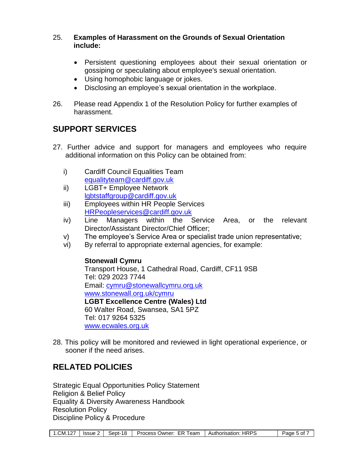#### 25. **Examples of Harassment on the Grounds of Sexual Orientation include:**

- Persistent questioning employees about their sexual orientation or gossiping or speculating about employee's sexual orientation.
- Using homophobic language or jokes.
- Disclosing an employee's sexual orientation in the workplace.
- 26. Please read Appendix 1 of the Resolution Policy for further examples of harassment.

## **SUPPORT SERVICES**

- 27. Further advice and support for managers and employees who require additional information on this Policy can be obtained from:
	- i) Cardiff Council Equalities Team [equalityteam@cardiff.gov.uk](mailto:equalityteam@cardiff.gov.uk)
	- ii) LGBT+ Employee Network [lgbtstaffgroup@cardiff.gov.uk](mailto:lgbtstaffgroup@cardiff.gov.uk)
	- iii) Employees within HR People Services [HRPeopleservices@cardiff.gov.uk](mailto:HRPeopleservices@cardiff.gov.uk)
	- iv) Line Managers within the Service Area, or the relevant Director/Assistant Director/Chief Officer;
	- v) The employee's Service Area or specialist trade union representative;
	- vi) By referral to appropriate external agencies, for example:

### **Stonewall Cymru**

Transport House, 1 Cathedral Road, Cardiff, CF11 9SB Tel: 029 2023 7744 Email: [cymru@stonewallcymru.org.uk](mailto:cymru@stonewallcymru.org.uk) [www.stonewall.org.uk/cymru](http://www.stonewall.org.uk/cymru) **LGBT Excellence Centre (Wales) Ltd** 60 Walter Road, Swansea, SA1 5PZ Tel: 017 9264 5325 [www.ecwales.org.uk](http://www.ecwales.org.uk/)

28. This policy will be monitored and reviewed in light operational experience, or sooner if the need arises.

## **RELATED POLICIES**

Strategic Equal Opportunities Policy Statement Religion & Belief Policy Equality & Diversity Awareness Handbook Resolution Policy Discipline Policy & Procedure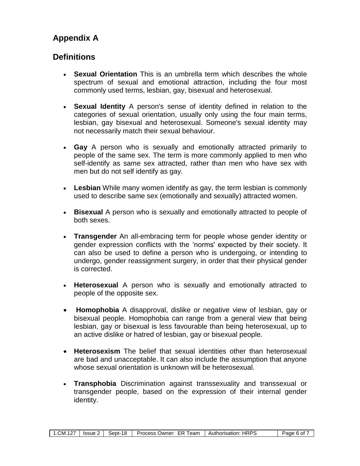# **Appendix A**

## **Definitions**

- **Sexual Orientation** This is an umbrella term which describes the whole spectrum of sexual and emotional attraction, including the four most commonly used terms, lesbian, gay, bisexual and heterosexual.
- **Sexual Identity** A person's sense of identity defined in relation to the categories of sexual orientation, usually only using the four main terms, lesbian, gay bisexual and heterosexual. Someone's sexual identity may not necessarily match their sexual behaviour.
- **Gay** A person who is sexually and emotionally attracted primarily to people of the same sex. The term is more commonly applied to men who self-identify as same sex attracted, rather than men who have sex with men but do not self identify as gay.
- **Lesbian** While many women identify as gay, the term lesbian is commonly used to describe same sex (emotionally and sexually) attracted women.
- **Bisexual** A person who is sexually and emotionally attracted to people of both sexes.
- **Transgender** An all-embracing term for people whose gender identity or gender expression conflicts with the 'norms' expected by their society. It can also be used to define a person who is undergoing, or intending to undergo, gender reassignment surgery, in order that their physical gender is corrected.
- **Heterosexual** A person who is sexually and emotionally attracted to people of the opposite sex.
- **Homophobia** A disapproval, dislike or negative view of lesbian, gay or bisexual people. Homophobia can range from a general view that being lesbian, gay or bisexual is less favourable than being heterosexual, up to an active dislike or hatred of lesbian, gay or bisexual people.
- **Heterosexism** The belief that sexual identities other than heterosexual are bad and unacceptable. It can also include the assumption that anyone whose sexual orientation is unknown will be heterosexual.
- **Transphobia** Discrimination against transsexuality and transsexual or transgender people, based on the expression of their internal gender identity.